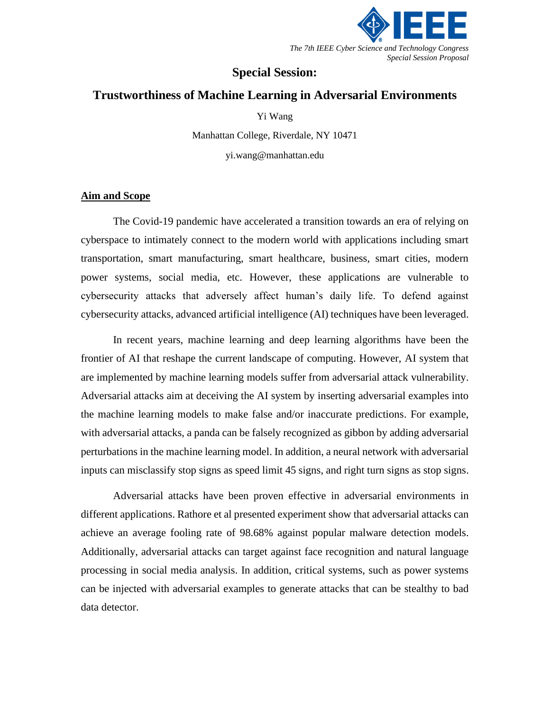

# **Special Session:**

# **Trustworthiness of Machine Learning in Adversarial Environments**

Yi Wang

Manhattan College, Riverdale, NY 10471

yi.wang@manhattan.edu

#### **Aim and Scope**

The Covid-19 pandemic have accelerated a transition towards an era of relying on cyberspace to intimately connect to the modern world with applications including smart transportation, smart manufacturing, smart healthcare, business, smart cities, modern power systems, social media, etc. However, these applications are vulnerable to cybersecurity attacks that adversely affect human's daily life. To defend against cybersecurity attacks, advanced artificial intelligence (AI) techniques have been leveraged.

In recent years, machine learning and deep learning algorithms have been the frontier of AI that reshape the current landscape of computing. However, AI system that are implemented by machine learning models suffer from adversarial attack vulnerability. Adversarial attacks aim at deceiving the AI system by inserting adversarial examples into the machine learning models to make false and/or inaccurate predictions. For example, with adversarial attacks, a panda can be falsely recognized as gibbon by adding adversarial perturbations in the machine learning model. In addition, a neural network with adversarial inputs can misclassify stop signs as speed limit 45 signs, and right turn signs as stop signs.

Adversarial attacks have been proven effective in adversarial environments in different applications. Rathore et al presented experiment show that adversarial attacks can achieve an average fooling rate of 98.68% against popular malware detection models. Additionally, adversarial attacks can target against face recognition and natural language processing in social media analysis. In addition, critical systems, such as power systems can be injected with adversarial examples to generate attacks that can be stealthy to bad data detector.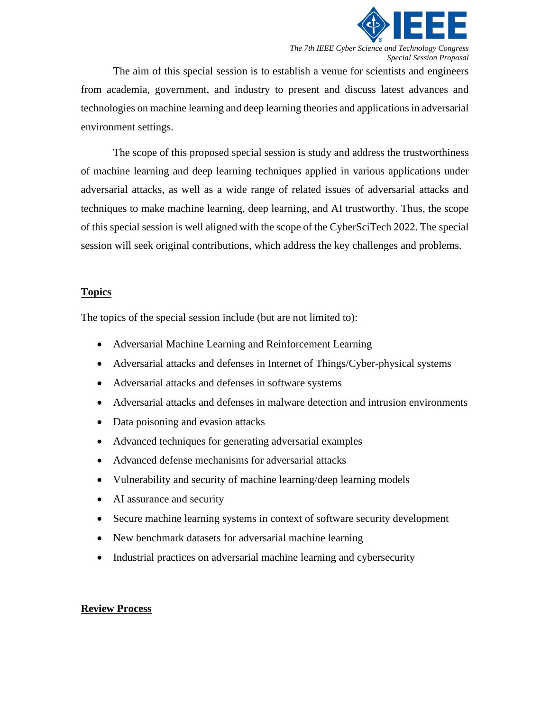

*The 7th IEEE Cyber Science and Technology Congress Special Session Proposal*

The aim of this special session is to establish a venue for scientists and engineers from academia, government, and industry to present and discuss latest advances and technologies on machine learning and deep learning theories and applications in adversarial environment settings.

The scope of this proposed special session is study and address the trustworthiness of machine learning and deep learning techniques applied in various applications under adversarial attacks, as well as a wide range of related issues of adversarial attacks and techniques to make machine learning, deep learning, and AI trustworthy. Thus, the scope of this special session is well aligned with the scope of the CyberSciTech 2022. The special session will seek original contributions, which address the key challenges and problems.

#### **Topics**

The topics of the special session include (but are not limited to):

- Adversarial Machine Learning and Reinforcement Learning
- Adversarial attacks and defenses in Internet of Things/Cyber-physical systems
- Adversarial attacks and defenses in software systems
- Adversarial attacks and defenses in malware detection and intrusion environments
- Data poisoning and evasion attacks
- Advanced techniques for generating adversarial examples
- Advanced defense mechanisms for adversarial attacks
- Vulnerability and security of machine learning/deep learning models
- AI assurance and security
- Secure machine learning systems in context of software security development
- New benchmark datasets for adversarial machine learning
- Industrial practices on adversarial machine learning and cybersecurity

## **Review Process**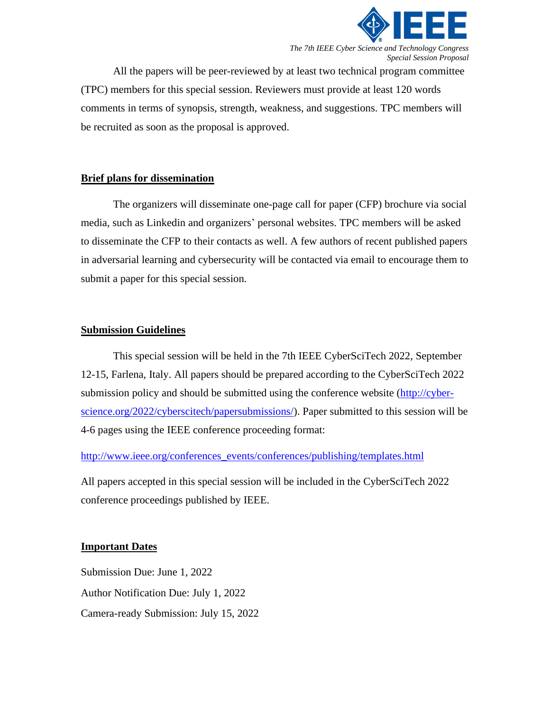

*The 7th IEEE Cyber Science and Technology Congress Special Session Proposal*

All the papers will be peer-reviewed by at least two technical program committee (TPC) members for this special session. Reviewers must provide at least 120 words comments in terms of synopsis, strength, weakness, and suggestions. TPC members will be recruited as soon as the proposal is approved.

#### **Brief plans for dissemination**

The organizers will disseminate one-page call for paper (CFP) brochure via social media, such as Linkedin and organizers' personal websites. TPC members will be asked to disseminate the CFP to their contacts as well. A few authors of recent published papers in adversarial learning and cybersecurity will be contacted via email to encourage them to submit a paper for this special session.

## **Submission Guidelines**

This special session will be held in the 7th IEEE CyberSciTech 2022, September 12-15, Farlena, Italy. All papers should be prepared according to the CyberSciTech 2022 submission policy and should be submitted using the conference website [\(http://cyber](http://cyber-science.org/2022/cyberscitech/papersubmissions/)[science.org/2022/cyberscitech/papersubmissions/\)](http://cyber-science.org/2022/cyberscitech/papersubmissions/). Paper submitted to this session will be 4-6 pages using the IEEE conference proceeding format:

[http://www.ieee.org/conferences\\_events/conferences/publishing/templates.html](http://www.ieee.org/conferences_events/conferences/publishing/templates.html)

All papers accepted in this special session will be included in the CyberSciTech 2022 conference proceedings published by IEEE.

## **Important Dates**

Submission Due: June 1, 2022 Author Notification Due: July 1, 2022 Camera-ready Submission: July 15, 2022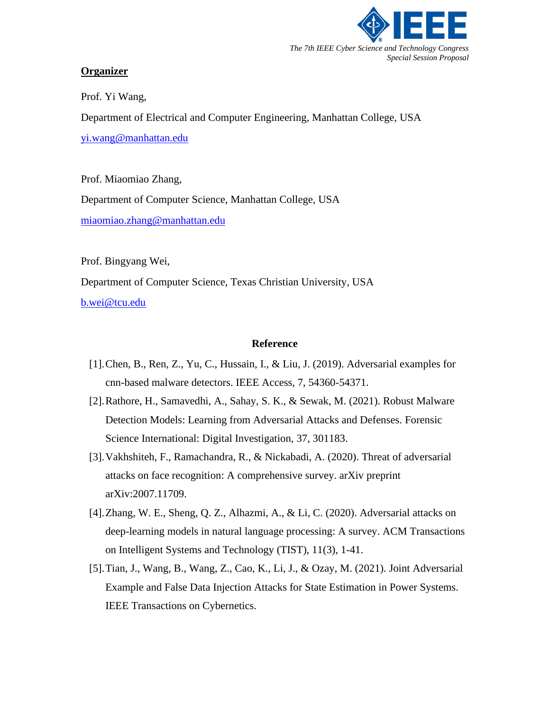

### **Organizer**

Prof. Yi Wang, Department of Electrical and Computer Engineering, Manhattan College, USA [yi.wang@manhattan.edu](mailto:yi.wang@manhattan.edu)

Prof. Miaomiao Zhang, Department of Computer Science, Manhattan College, USA [miaomiao.zhang@manhattan.edu](mailto:miaomiao.zhang@manhattan.edu)

Prof. Bingyang Wei, Department of Computer Science, Texas Christian University, USA [b.wei@tcu.edu](mailto:b.wei@tcu.edu)

#### **Reference**

- [1].Chen, B., Ren, Z., Yu, C., Hussain, I., & Liu, J. (2019). Adversarial examples for cnn-based malware detectors. IEEE Access, 7, 54360-54371.
- [2].Rathore, H., Samavedhi, A., Sahay, S. K., & Sewak, M. (2021). Robust Malware Detection Models: Learning from Adversarial Attacks and Defenses. Forensic Science International: Digital Investigation, 37, 301183.
- [3].Vakhshiteh, F., Ramachandra, R., & Nickabadi, A. (2020). Threat of adversarial attacks on face recognition: A comprehensive survey. arXiv preprint arXiv:2007.11709.
- [4].Zhang, W. E., Sheng, Q. Z., Alhazmi, A., & Li, C. (2020). Adversarial attacks on deep-learning models in natural language processing: A survey. ACM Transactions on Intelligent Systems and Technology (TIST), 11(3), 1-41.
- [5].Tian, J., Wang, B., Wang, Z., Cao, K., Li, J., & Ozay, M. (2021). Joint Adversarial Example and False Data Injection Attacks for State Estimation in Power Systems. IEEE Transactions on Cybernetics.